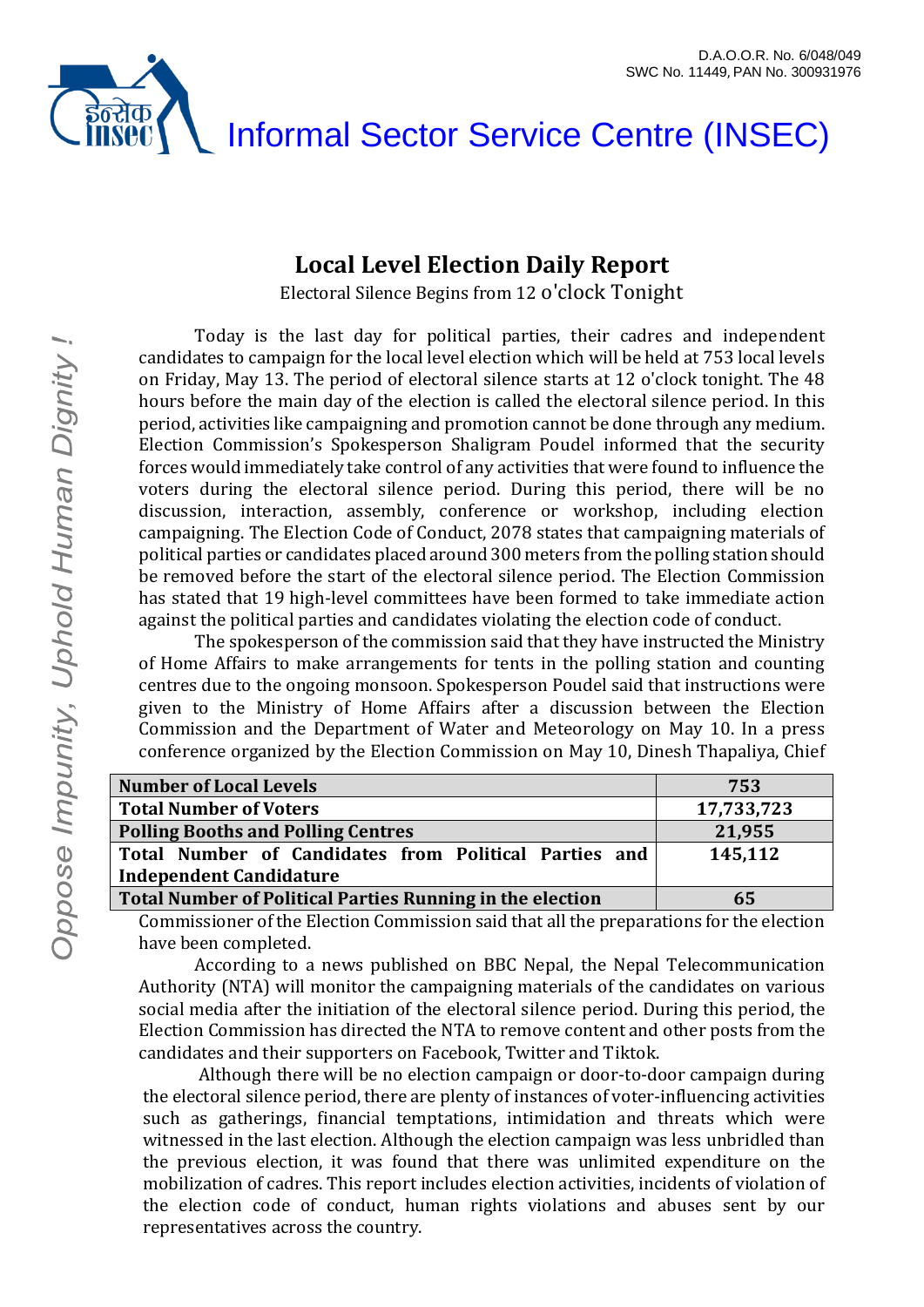# इंन्सक Informal Sector Service Centre (INSEC)

#### **Local Level Election Daily Report**

Electoral Silence Begins from 12 o'clock Tonight

Today is the last day for political parties, their cadres and independent candidates to campaign for the local level election which will be held at 753 local levels on Friday, May 13. The period of electoral silence starts at 12 o'clock tonight. The 48 hours before the main day of the election is called the electoral silence period. In this period, activities like campaigning and promotion cannot be done through any medium. Election Commission's Spokesperson Shaligram Poudel informed that the security forces would immediately take control of any activities that were found to influence the voters during the electoral silence period. During this period, there will be no discussion, interaction, assembly, conference or workshop, including election campaigning. The Election Code of Conduct, 2078 states that campaigning materials of political parties or candidates placed around 300 meters from the polling station should be removed before the start of the electoral silence period. The Election Commission has stated that 19 high-level committees have been formed to take immediate action against the political parties and candidates violating the election code of conduct.

The spokesperson of the commission said that they have instructed the Ministry of Home Affairs to make arrangements for tents in the polling station and counting centres due to the ongoing monsoon. Spokesperson Poudel said that instructions were given to the Ministry of Home Affairs after a discussion between the Election Commission and the Department of Water and Meteorology on May 10. In a press conference organized by the Election Commission on May 10, Dinesh Thapaliya, Chief

| <b>Number of Local Levels</b>                             | 753        |
|-----------------------------------------------------------|------------|
| <b>Total Number of Voters</b>                             | 17,733,723 |
| <b>Polling Booths and Polling Centres</b>                 | 21,955     |
| Total Number of Candidates from Political Parties and     | 145,112    |
| <b>Independent Candidature</b>                            |            |
| Total Number of Political Parties Running in the election | 65         |

Commissioner of the Election Commission said that all the preparations for the election have been completed.

According to a news published on BBC Nepal, the Nepal Telecommunication Authority (NTA) will monitor the campaigning materials of the candidates on various social media after the initiation of the electoral silence period. During this period, the Election Commission has directed the NTA to remove content and other posts from the candidates and their supporters on Facebook, Twitter and Tiktok.

Although there will be no election campaign or door-to-door campaign during the electoral silence period, there are plenty of instances of voter-influencing activities such as gatherings, financial temptations, intimidation and threats which were witnessed in the last election. Although the election campaign was less unbridled than the previous election, it was found that there was unlimited expenditure on the mobilization of cadres. This report includes election activities, incidents of violation of the election code of conduct, human rights violations and abuses sent by our representatives across the country.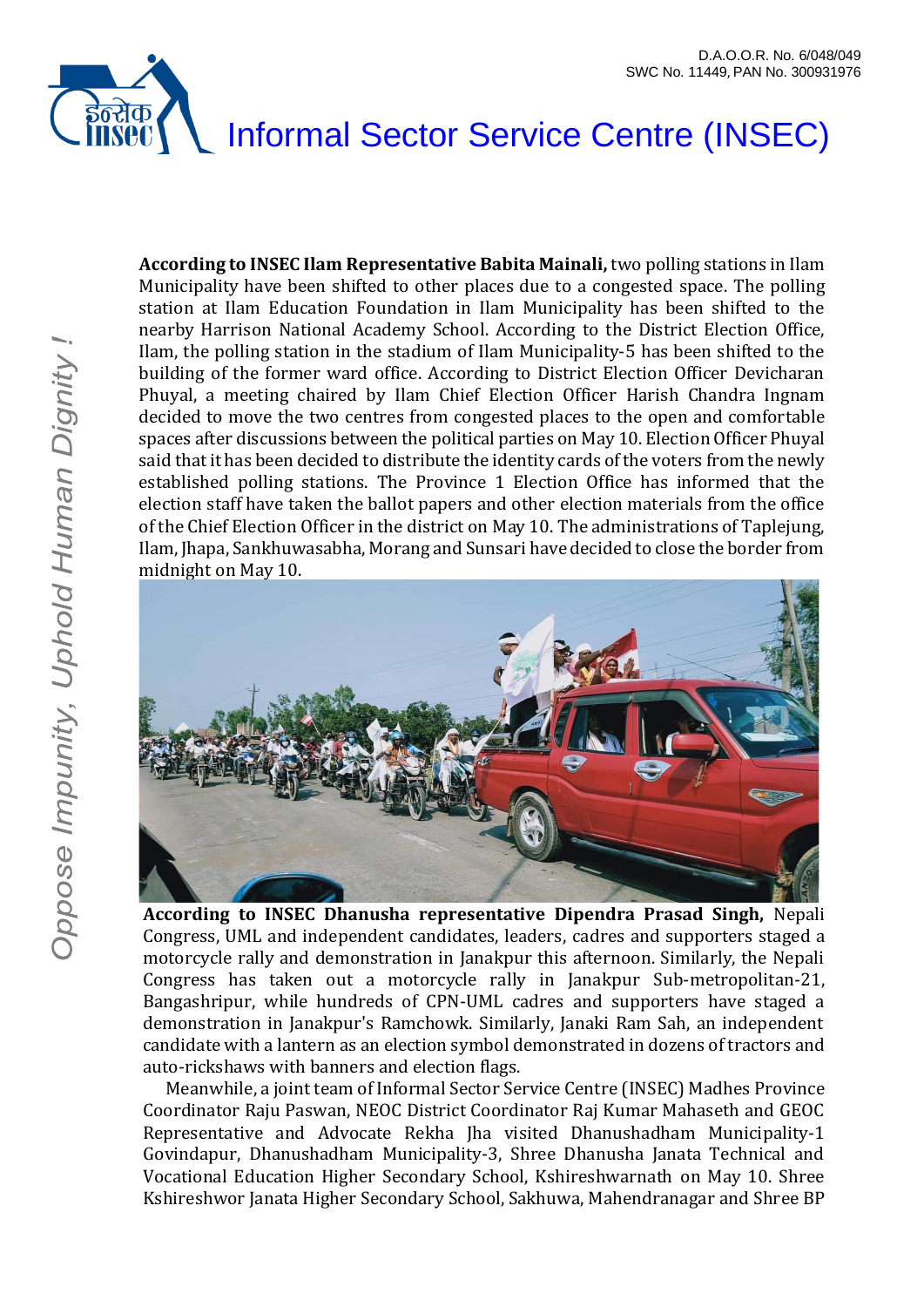#### इंन्सेक<br>INSEC Informal Sector Service Centre (INSEC)

**According to INSEC Ilam Representative Babita Mainali,** two polling stations in Ilam Municipality have been shifted to other places due to a congested space. The polling station at Ilam Education Foundation in Ilam Municipality has been shifted to the nearby Harrison National Academy School. According to the District Election Office, Ilam, the polling station in the stadium of Ilam Municipality-5 has been shifted to the building of the former ward office. According to District Election Officer Devicharan Phuyal, a meeting chaired by Ilam Chief Election Officer Harish Chandra Ingnam decided to move the two centres from congested places to the open and comfortable spaces after discussions between the political parties on May 10. Election Officer Phuyal said that it has been decided to distribute the identity cards of the voters from the newly established polling stations. The Province 1 Election Office has informed that the election staff have taken the ballot papers and other election materials from the office of the Chief Election Officer in the district on May 10. The administrations of Taplejung, Ilam, Jhapa, Sankhuwasabha, Morang and Sunsari have decided to close the border from midnight on May 10.



**According to INSEC Dhanusha representative Dipendra Prasad Singh,** Nepali Congress, UML and independent candidates, leaders, cadres and supporters staged a motorcycle rally and demonstration in Janakpur this afternoon. Similarly, the Nepali Congress has taken out a motorcycle rally in Janakpur Sub-metropolitan-21, Bangashripur, while hundreds of CPN-UML cadres and supporters have staged a demonstration in Janakpur's Ramchowk. Similarly, Janaki Ram Sah, an independent candidate with a lantern as an election symbol demonstrated in dozens of tractors and auto-rickshaws with banners and election flags.

Meanwhile, a joint team of Informal Sector Service Centre (INSEC) Madhes Province Coordinator Raju Paswan, NEOC District Coordinator Raj Kumar Mahaseth and GEOC Representative and Advocate Rekha Jha visited Dhanushadham Municipality-1 Govindapur, Dhanushadham Municipality-3, Shree Dhanusha Janata Technical and Vocational Education Higher Secondary School, Kshireshwarnath on May 10. Shree Kshireshwor Janata Higher Secondary School, Sakhuwa, Mahendranagar and Shree BP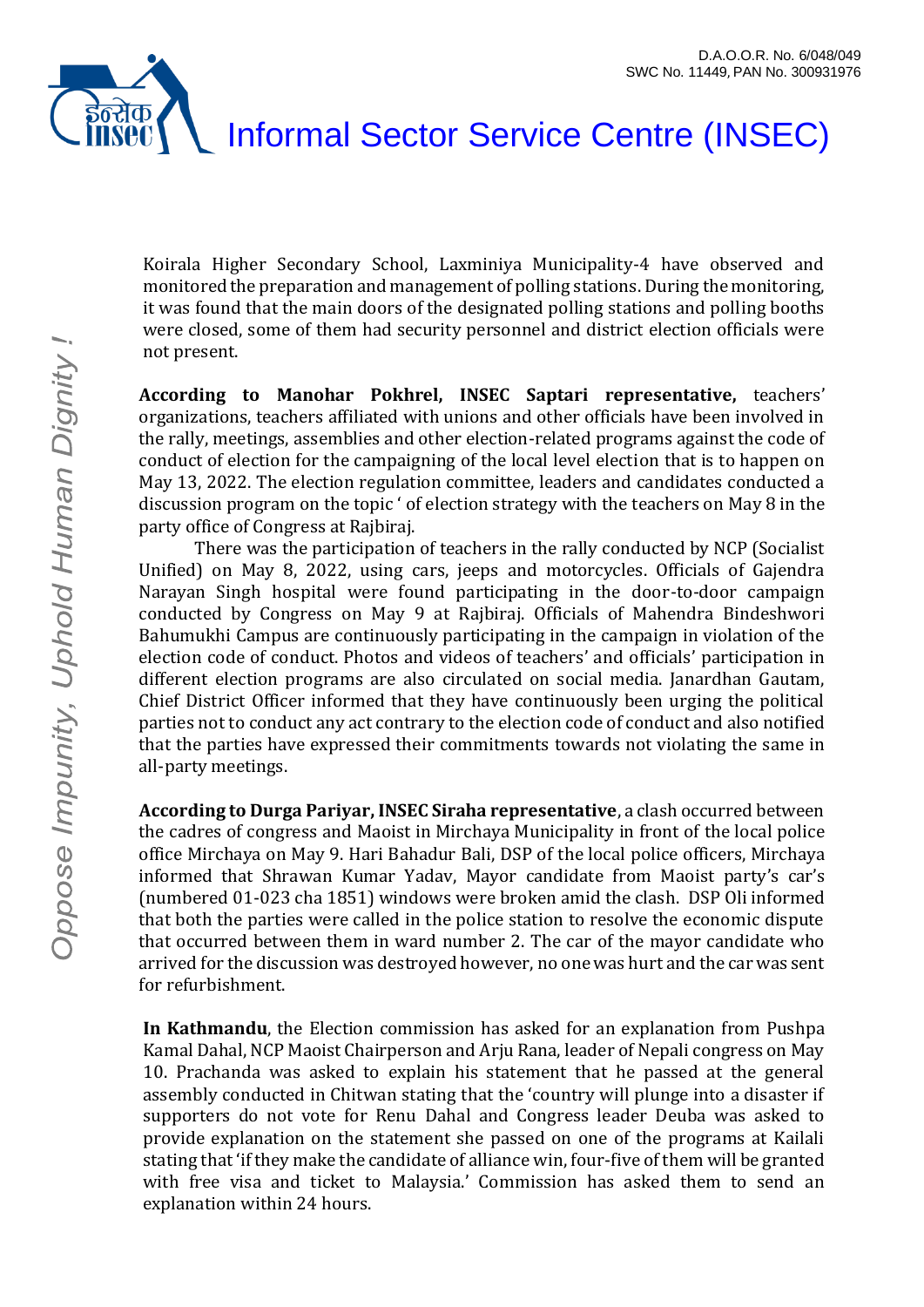



Koirala Higher Secondary School, Laxminiya Municipality-4 have observed and monitored the preparation and management of polling stations. During the monitoring, it was found that the main doors of the designated polling stations and polling booths were closed, some of them had security personnel and district election officials were not present.

**According to Manohar Pokhrel, INSEC Saptari representative,** teachers' organizations, teachers affiliated with unions and other officials have been involved in the rally, meetings, assemblies and other election-related programs against the code of conduct of election for the campaigning of the local level election that is to happen on May 13, 2022. The election regulation committee, leaders and candidates conducted a discussion program on the topic ' of election strategy with the teachers on May 8 in the party office of Congress at Rajbiraj.

There was the participation of teachers in the rally conducted by NCP (Socialist Unified) on May 8, 2022, using cars, jeeps and motorcycles. Officials of Gajendra Narayan Singh hospital were found participating in the door-to-door campaign conducted by Congress on May 9 at Rajbiraj. Officials of Mahendra Bindeshwori Bahumukhi Campus are continuously participating in the campaign in violation of the election code of conduct. Photos and videos of teachers' and officials' participation in different election programs are also circulated on social media. Janardhan Gautam, Chief District Officer informed that they have continuously been urging the political parties not to conduct any act contrary to the election code of conduct and also notified that the parties have expressed their commitments towards not violating the same in all-party meetings.

**According to Durga Pariyar, INSEC Siraha representative**, a clash occurred between the cadres of congress and Maoist in Mirchaya Municipality in front of the local police office Mirchaya on May 9. Hari Bahadur Bali, DSP of the local police officers, Mirchaya informed that Shrawan Kumar Yadav, Mayor candidate from Maoist party's car's (numbered 01-023 cha 1851) windows were broken amid the clash. DSP Oli informed that both the parties were called in the police station to resolve the economic dispute that occurred between them in ward number 2. The car of the mayor candidate who arrived for the discussion was destroyed however, no one was hurt and the car was sent for refurbishment.

**In Kathmandu**, the Election commission has asked for an explanation from Pushpa Kamal Dahal, NCP Maoist Chairperson and Arju Rana, leader of Nepali congress on May 10. Prachanda was asked to explain his statement that he passed at the general assembly conducted in Chitwan stating that the 'country will plunge into a disaster if supporters do not vote for Renu Dahal and Congress leader Deuba was asked to provide explanation on the statement she passed on one of the programs at Kailali stating that 'if they make the candidate of alliance win, four-five of them will be granted with free visa and ticket to Malaysia.' Commission has asked them to send an explanation within 24 hours.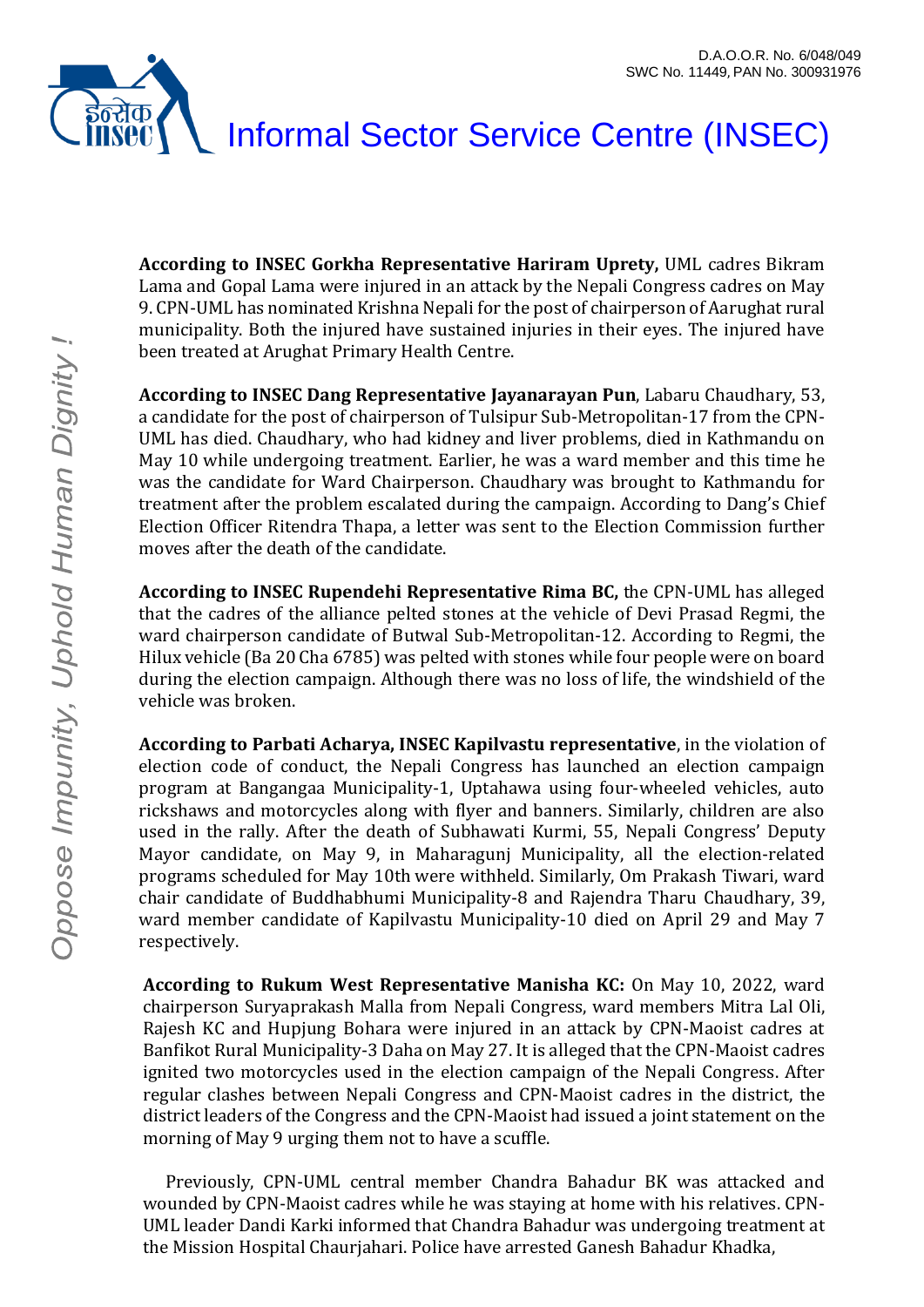## इन्सक Informal Sector Service Centre (INSEC)

**According to INSEC Gorkha Representative Hariram Uprety,** UML cadres Bikram Lama and Gopal Lama were injured in an attack by the Nepali Congress cadres on May 9. CPN-UML has nominated Krishna Nepali for the post of chairperson of Aarughat rural municipality. Both the injured have sustained injuries in their eyes. The injured have been treated at Arughat Primary Health Centre.

**According to INSEC Dang Representative Jayanarayan Pun**, Labaru Chaudhary, 53, a candidate for the post of chairperson of Tulsipur Sub-Metropolitan-17 from the CPN-UML has died. Chaudhary, who had kidney and liver problems, died in Kathmandu on May 10 while undergoing treatment. Earlier, he was a ward member and this time he was the candidate for Ward Chairperson. Chaudhary was brought to Kathmandu for treatment after the problem escalated during the campaign. According to Dang's Chief Election Officer Ritendra Thapa, a letter was sent to the Election Commission further moves after the death of the candidate.

**According to INSEC Rupendehi Representative Rima BC,** the CPN-UML has alleged that the cadres of the alliance pelted stones at the vehicle of Devi Prasad Regmi, the ward chairperson candidate of Butwal Sub-Metropolitan-12. According to Regmi, the Hilux vehicle (Ba 20 Cha 6785) was pelted with stones while four people were on board during the election campaign. Although there was no loss of life, the windshield of the vehicle was broken.

**According to Parbati Acharya, INSEC Kapilvastu representative**, in the violation of election code of conduct, the Nepali Congress has launched an election campaign program at Bangangaa Municipality-1, Uptahawa using four-wheeled vehicles, auto rickshaws and motorcycles along with flyer and banners. Similarly, children are also used in the rally. After the death of Subhawati Kurmi, 55, Nepali Congress' Deputy Mayor candidate, on May 9, in Maharagunj Municipality, all the election-related programs scheduled for May 10th were withheld. Similarly, Om Prakash Tiwari, ward chair candidate of Buddhabhumi Municipality-8 and Rajendra Tharu Chaudhary, 39, ward member candidate of Kapilvastu Municipality-10 died on April 29 and May 7 respectively.

**According to Rukum West Representative Manisha KC:** On May 10, 2022, ward chairperson Suryaprakash Malla from Nepali Congress, ward members Mitra Lal Oli, Rajesh KC and Hupjung Bohara were injured in an attack by CPN-Maoist cadres at Banfikot Rural Municipality-3 Daha on May 27. It is alleged that the CPN-Maoist cadres ignited two motorcycles used in the election campaign of the Nepali Congress. After regular clashes between Nepali Congress and CPN-Maoist cadres in the district, the district leaders of the Congress and the CPN-Maoist had issued a joint statement on the morning of May 9 urging them not to have a scuffle.

Previously, CPN-UML central member Chandra Bahadur BK was attacked and wounded by CPN-Maoist cadres while he was staying at home with his relatives. CPN-UML leader Dandi Karki informed that Chandra Bahadur was undergoing treatment at the Mission Hospital Chaurjahari. Police have arrested Ganesh Bahadur Khadka,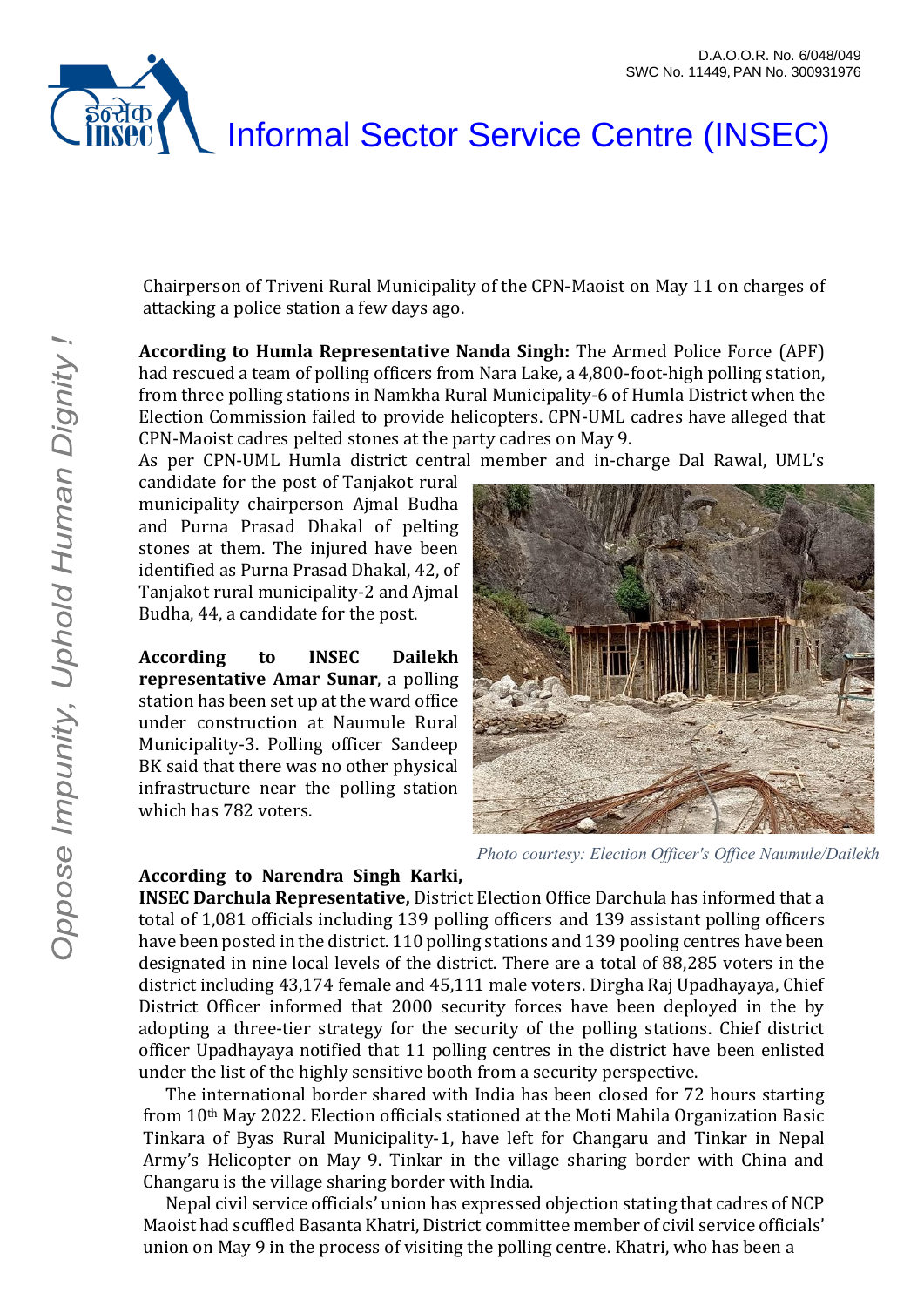



Chairperson of Triveni Rural Municipality of the CPN-Maoist on May 11 on charges of attacking a police station a few days ago.

**According to Humla Representative Nanda Singh:** The Armed Police Force (APF) had rescued a team of polling officers from Nara Lake, a 4,800-foot-high polling station, from three polling stations in Namkha Rural Municipality-6 of Humla District when the Election Commission failed to provide helicopters. CPN-UML cadres have alleged that CPN-Maoist cadres pelted stones at the party cadres on May 9.

As per CPN-UML Humla district central member and in-charge Dal Rawal, UML's

candidate for the post of Tanjakot rural municipality chairperson Ajmal Budha and Purna Prasad Dhakal of pelting stones at them. The injured have been identified as Purna Prasad Dhakal, 42, of Tanjakot rural municipality-2 and Ajmal Budha, 44, a candidate for the post.

**According to INSEC Dailekh representative Amar Sunar**, a polling station has been set up at the ward office under construction at Naumule Rural Municipality-3. Polling officer Sandeep BK said that there was no other physical infrastructure near the polling station which has 782 voters.



*Photo courtesy: Election Officer's Office Naumule/Dailekh*

#### **According to Narendra Singh Karki,**

**INSEC Darchula Representative,** District Election Office Darchula has informed that a total of 1,081 officials including 139 polling officers and 139 assistant polling officers have been posted in the district. 110 polling stations and 139 pooling centres have been designated in nine local levels of the district. There are a total of 88,285 voters in the district including 43,174 female and 45,111 male voters. Dirgha Raj Upadhayaya, Chief District Officer informed that 2000 security forces have been deployed in the by adopting a three-tier strategy for the security of the polling stations. Chief district officer Upadhayaya notified that 11 polling centres in the district have been enlisted under the list of the highly sensitive booth from a security perspective.

The international border shared with India has been closed for 72 hours starting from 10th May 2022. Election officials stationed at the Moti Mahila Organization Basic Tinkara of Byas Rural Municipality-1, have left for Changaru and Tinkar in Nepal Army's Helicopter on May 9. Tinkar in the village sharing border with China and Changaru is the village sharing border with India.

Nepal civil service officials' union has expressed objection stating that cadres of NCP Maoist had scuffled Basanta Khatri, District committee member of civil service officials' union on May 9 in the process of visiting the polling centre. Khatri, who has been a